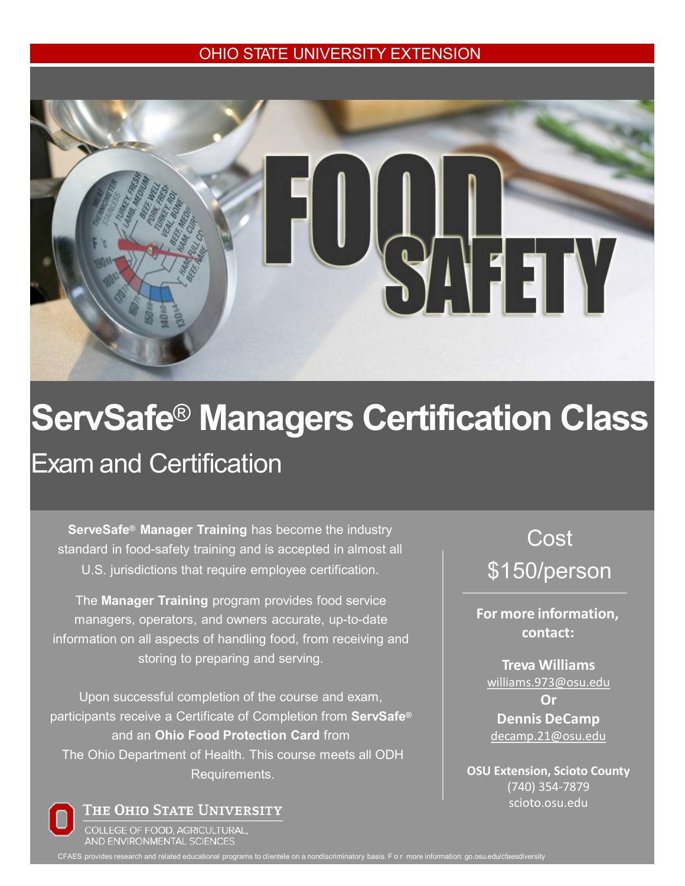## OHIO STATE UNIVERSITY EXTENSION



## **ServSafe**® **Managers Certification Class** Exam and Certification

**ServeSafe® Manager Training** has become the industry standard in food-safety training and is accepted in almost all U.S. jurisdictions that require employee certification.

The **Manager Training** program provides food service managers, operators, and owners accurate, up-to-date information on all aspects of handling food, from receiving and storing to preparing and serving.

Upon successful completion of the course and exam, participants receive a Certificate of Completion from **ServSafe®** and an **Ohio Food Protection Card** from The Ohio Department of Health. This course meets all ODH Requirements.

Cost \$150/person

**For more information, contact:**

**Treva Williams**  [williams.973@osu.edu](mailto:williams.973@osu.edu)

**Or Dennis DeCamp** [decamp.21@osu.edu](mailto:decamp.21@osu.edu)

**OSU Extension, Scioto County** (740) 354-7879 scioto.osu.edu

THE OHIO STATE UNIVERSITY

COLLEGE OF FOOD, AGRICULTURAL, AND ENVIRONMENTAL SCIENCES

CFAES provides research and related educational programs to clientele on a nondiscriminatory basis. F o r more information: go.osu.edu/cfaesdiversity